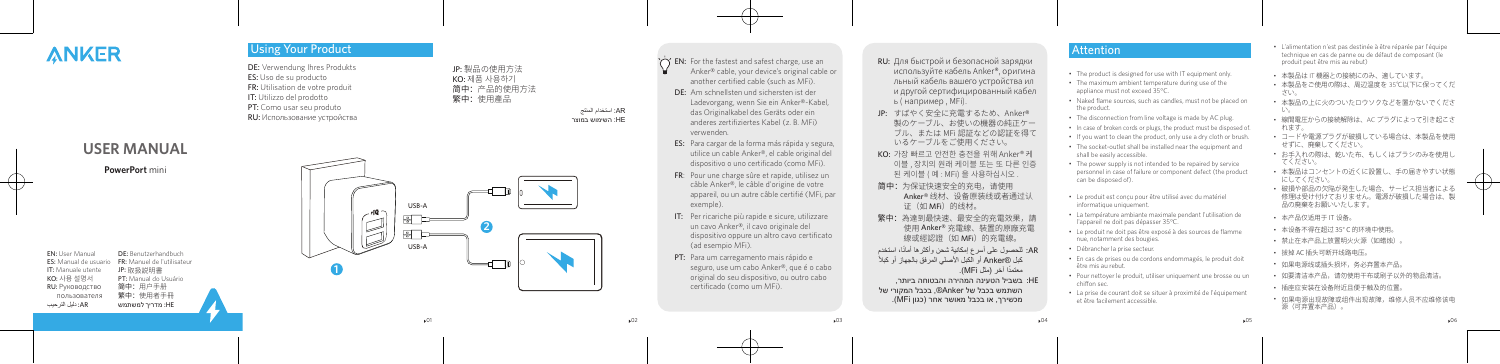

JP: 製品の使用方法 KO: 제품 사용하기 简中:产品的使用方法 繁中:使用產品

DE: Verwendung Ihres Produkts ES: Uso de su producto FR: Utilisation de votre produit IT: Utilizzo del prodotto PT: Como usar seu produto RU: Использование устройства

# **ANKER**

EN: User Manual DE: Benutzerhandbuch **ES:** Manual de usuario FR: Manuel de l'utilisateur<br>IT: Manuale utente JP: 取扱説明書 IT: Manuale utente JP: 取扱説明書<br>KO: 사용 설명서 PT: Manual do

пользователя 繁中: 使用者手冊<br>HE: מדריר למשתמש AR: دليل التر حيب

RU: Руководство<br>пользователя

**PT:** Manual do Usuário<br>简中:用户手册

AR: استخدام المنتج HE: השימוש במוצר



### $\overleftrightarrow{C}$  **EN:** For the fastest and safest charge, use an Anker® cable, your device's original cable or another certified cable (such as MFi).

HE: מדריך למשתמש AR: دليل الترحيب

- DE: Am schnellsten und sichersten ist der Ladevorgang, wenn Sie ein Anker®-Kabel, das Originalkabel des Geräts oder ein anderes zertifiziertes Kabel (z. B. MFi) verwenden.
- ES: Para cargar de la forma más rápida y segura, utilice un cable Anker®, el cable original del dispositivo o uno certificado (como MFi).
- FR: Pour une charge sûre et rapide, utilisez un câble Anker®, le câble d'origine de votre appareil, ou un autre câble certifié (MFi, par exemple).
- IT: Per ricariche più rapide e sicure, utilizzare un cavo Anker®, il cavo originale del dispositivo oppure un altro cavo certificato (ad esempio MFi).
- PT: Para um carregamento mais rápido e seguro, use um cabo Anker®, que é o cabo original do seu dispositivo, ou outro cabo certificado (como um MFi).
- RU: Для быстрой и безопасной зарядки используйте кабель Anker®, оригина льный кабель вашего устройства ил и другой сертифицированный кабел ь ( например , MFi).
- JP: すばやく安全に充電するため、Anker ® 製のケーブル、お使いの機器の純正ケー ブル、または MFi 認証などの認証を得て いるケーブルをご使用ください。
- KO: 가장 빠르고 안전한 충전을 위해 Anker® 케 이블 , 장치의 원래 케이블 또는 또 다른 인증 된 케이블 ( 예 : MFi) 을 사용하십시오 .
- 简中:为保证快速安全的充电,请使用 Anker® 线材、设备原装线或者通过认 证 (如 MFi) 的线材。
- <mark>繁甲:</mark>為達到最快速、最安全的充電效果,請 使用 Anker® 充電線、裝置的原廠充電 線或經認證(如 MFi)的充電線。
- AR: للحصول على أسرع إمكانية شحن وأكثرها أمانًا، استخدم ً كبل RAnker أو الكبل األصلي المرفق بالجهاز أو كبال معتمدًا أخر (مثل MFi).
- בשביל הטעינה המהירה והבטוחה ביותר, :HE השתמש בכבל של Anker®, בכבל המקורי של מכשירך, או בכבל מאושר אחר )כגון MFi).

 $\times$  02  $\times$  03  $\times$  04  $\times$  05  $\times$  05

## **Attention**

- The product is designed for use with IT equipment only.
- The maximum ambient temperature during use of the appliance must not exceed 35°C.
- Naked flame sources, such as candles, must not be placed on the product.
- The disconnection from line voltage is made by AC plug.
- In case of broken cords or plugs, the product must be disposed of.
- If you want to clean the product, only use a dry cloth or brush.
- The socket-outlet shall be installed near the equipment and shall be easily accessible.
- The power supply is not intended to be repaired by service personnel in case of failure or component defect (the product can be disposed of).
- Le produit est conçu pour être utilisé avec du matériel informatique uniquement.
- La température ambiante maximale pendant l'utilisation de l'appareil ne doit pas dépasser 35°C.
- Le produit ne doit pas être exposé à des sources de flamme nue, notamment des bougies.
- Débrancher la prise secteur.
- En cas de prises ou de cordons endommagés, le produit doit être mis au rebut.
- Pour nettoyer le produit, utiliser uniquement une brosse ou un chiffon sec.
- La prise de courant doit se situer à proximité de l'équipement et être facilement accessible.
- L'alimentation n'est pas destinée à être réparée par l'équipe technique en cas de panne ou de défaut de composant (le produit peut être mis au rebut)
- 本製品は IT 機器との接続にのみ、適しています。
- 本製品をご使用の際は、周辺温度を 35℃以下に保ってくだ さい。
- 本製品の上に火のついたロウソクなどを置かないでくださ い。
- 線間電圧からの接続解除は、AC プラグによって引き起こさ れます。
- コードや電源プラグが破損している場合は、本製品を使用 せずに、廃棄してください。
- お手入れの際は、乾いた布、もしくはブラシのみを使用し てください。
- 本製品はコンセントの近くに設置し、手の届きやすい状態 にしてください。
- 破損や部品の欠陥が発生した場合、サービス担当者による 修理は受け付けておりません。電源が破損した場合は、製 品の廃棄をお願いいたします。
- 本产品仅适用于 IT 设备。
- 本设备不得在超过 35° C 的环境中使用。
- 禁止在本产品上放置明火火源(如蜡烛)。
- 拔掉 AC 插头可断开线路电压。
- 如果电源线或插头损坏,务必弃置本产品。
- 如要清洁本产品,请勿使用干布或刷子以外的物品清洁。
- 插座应安装在设备附近且便于触及的位置。
- 如果电源出现故障或组件出现故障,维修人员不应维修该电 源(可弃置本产品)。

**PowerPort** mini **USER MANUAL**